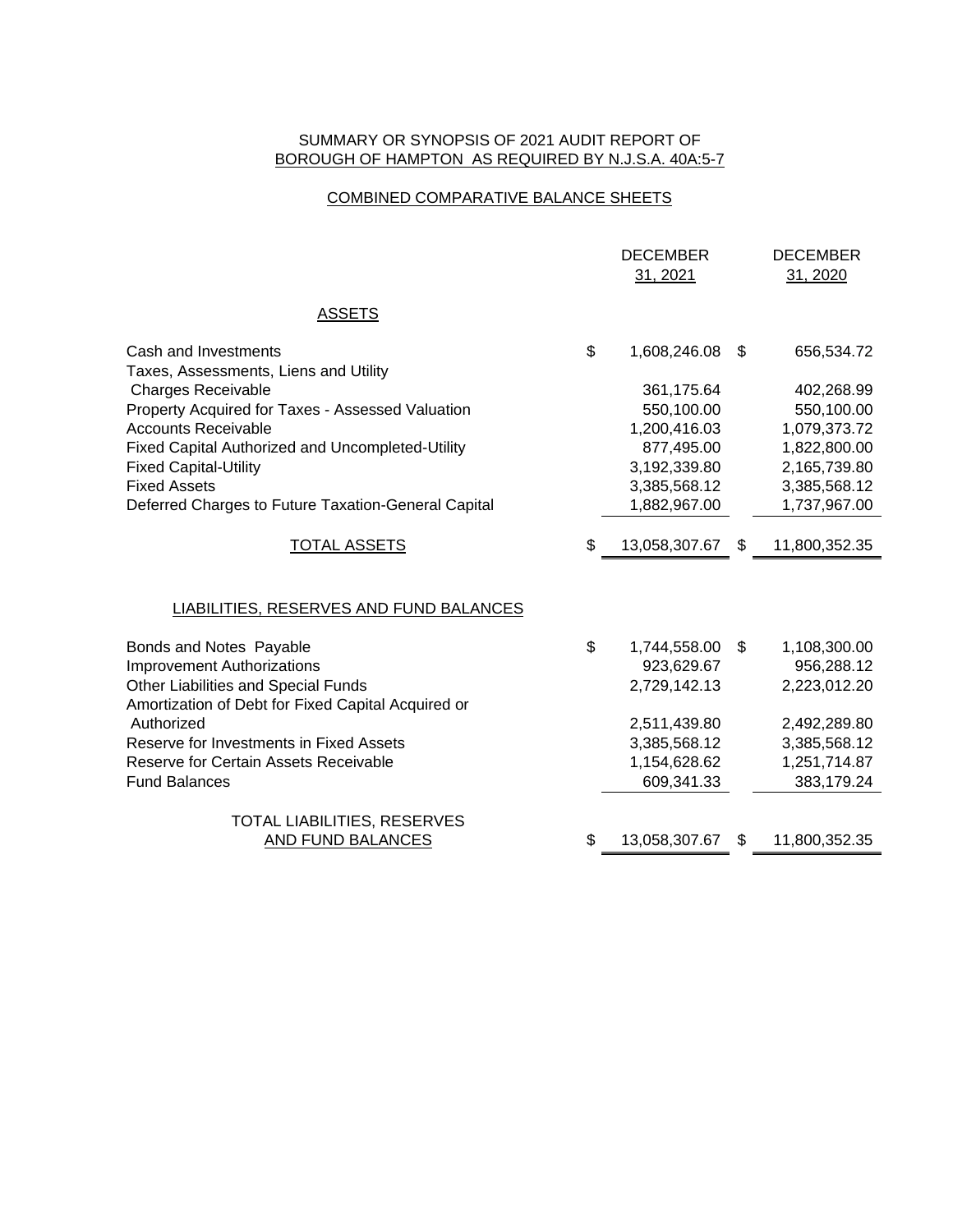## SUMMARY OR SYNOPSIS OF 2021 AUDIT REPORT OF BOROUGH OF HAMPTON AS REQUIRED BY N.J.S.A. 40A:5-7

# COMBINED COMPARATIVE BALANCE SHEETS

|                                                                            | <b>DECEMBER</b><br>31, 2021  |     | <b>DECEMBER</b><br>31, 2020  |
|----------------------------------------------------------------------------|------------------------------|-----|------------------------------|
| <b>ASSETS</b>                                                              |                              |     |                              |
| Cash and Investments<br>Taxes, Assessments, Liens and Utility              | \$<br>1,608,246.08           | \$  | 656,534.72                   |
| <b>Charges Receivable</b>                                                  | 361,175.64                   |     | 402,268.99                   |
| Property Acquired for Taxes - Assessed Valuation                           | 550,100.00                   |     | 550,100.00                   |
| <b>Accounts Receivable</b>                                                 | 1,200,416.03                 |     | 1,079,373.72                 |
| Fixed Capital Authorized and Uncompleted-Utility                           | 877,495.00                   |     | 1,822,800.00                 |
| <b>Fixed Capital-Utility</b>                                               | 3,192,339.80                 |     | 2,165,739.80                 |
| <b>Fixed Assets</b><br>Deferred Charges to Future Taxation-General Capital | 3,385,568.12<br>1,882,967.00 |     | 3,385,568.12<br>1,737,967.00 |
|                                                                            |                              |     |                              |
| <b>TOTAL ASSETS</b>                                                        | \$<br>13,058,307.67          | \$  | 11,800,352.35                |
|                                                                            |                              |     |                              |
| LIABILITIES, RESERVES AND FUND BALANCES                                    |                              |     |                              |
| Bonds and Notes Payable                                                    | \$<br>1,744,558.00           | \$  | 1,108,300.00                 |
| <b>Improvement Authorizations</b>                                          | 923,629.67                   |     | 956,288.12                   |
| Other Liabilities and Special Funds                                        | 2,729,142.13                 |     | 2,223,012.20                 |
| Amortization of Debt for Fixed Capital Acquired or                         |                              |     |                              |
| Authorized                                                                 | 2,511,439.80                 |     | 2,492,289.80                 |
| Reserve for Investments in Fixed Assets                                    | 3,385,568.12                 |     | 3,385,568.12                 |
| Reserve for Certain Assets Receivable                                      | 1,154,628.62                 |     | 1,251,714.87                 |
| <b>Fund Balances</b>                                                       | 609,341.33                   |     | 383,179.24                   |
| TOTAL LIABILITIES, RESERVES                                                |                              |     |                              |
| AND FUND BALANCES                                                          | \$<br>13,058,307.67          | \$. | 11,800,352.35                |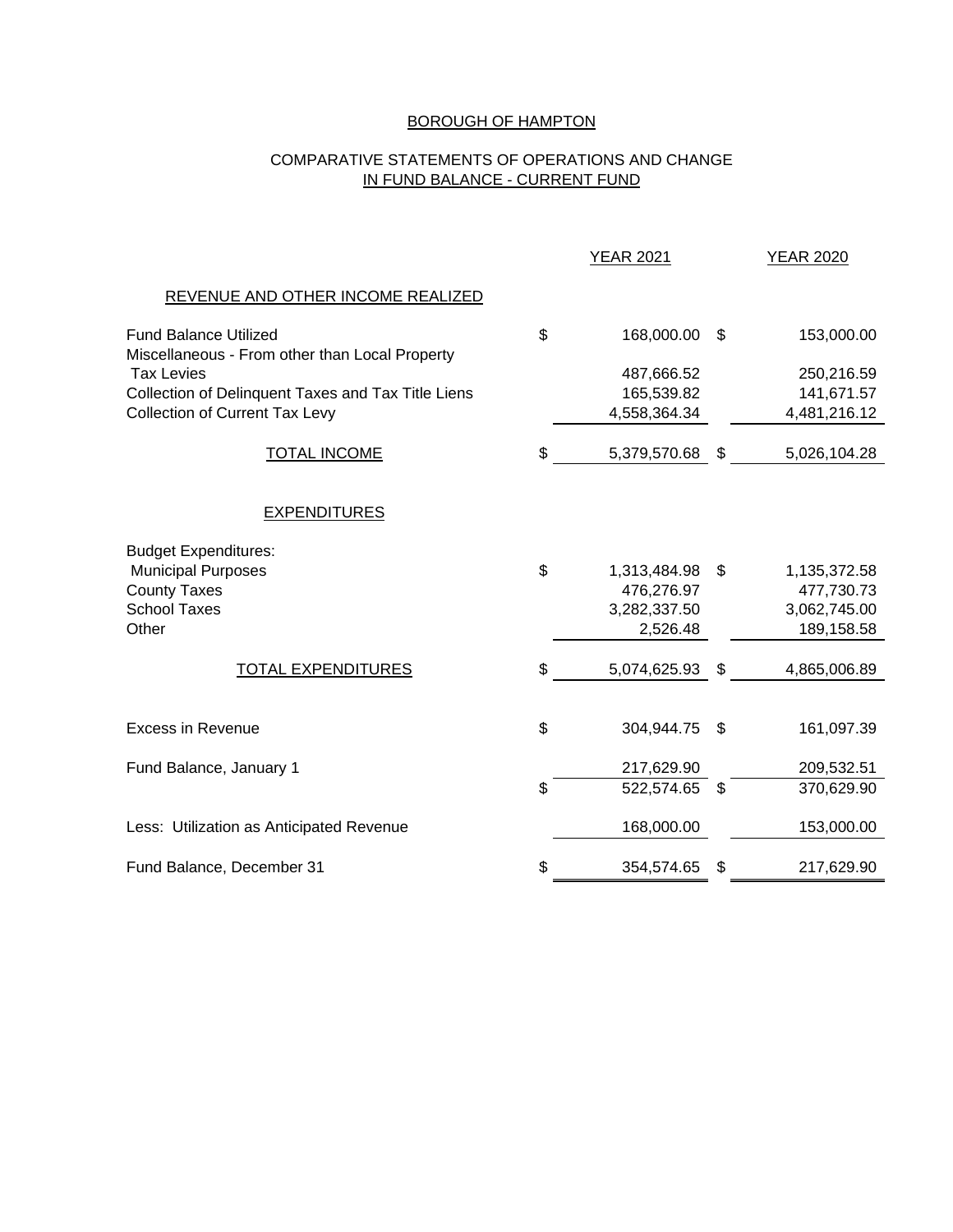# BOROUGH OF HAMPTON

## COMPARATIVE STATEMENTS OF OPERATIONS AND CHANGE IN FUND BALANCE - CURRENT FUND

|                                                                                | <b>YEAR 2021</b> |              |    | <b>YEAR 2020</b> |  |  |
|--------------------------------------------------------------------------------|------------------|--------------|----|------------------|--|--|
| REVENUE AND OTHER INCOME REALIZED                                              |                  |              |    |                  |  |  |
| <b>Fund Balance Utilized</b><br>Miscellaneous - From other than Local Property | \$               | 168,000.00   | \$ | 153,000.00       |  |  |
| <b>Tax Levies</b>                                                              |                  | 487,666.52   |    | 250,216.59       |  |  |
| Collection of Delinquent Taxes and Tax Title Liens                             |                  | 165,539.82   |    | 141,671.57       |  |  |
| <b>Collection of Current Tax Levy</b>                                          |                  | 4,558,364.34 |    | 4,481,216.12     |  |  |
| <b>TOTAL INCOME</b>                                                            | \$               | 5,379,570.68 | \$ | 5,026,104.28     |  |  |
| <b>EXPENDITURES</b>                                                            |                  |              |    |                  |  |  |
| <b>Budget Expenditures:</b>                                                    |                  |              |    |                  |  |  |
| <b>Municipal Purposes</b>                                                      | \$               | 1,313,484.98 | \$ | 1,135,372.58     |  |  |
| <b>County Taxes</b>                                                            |                  | 476,276.97   |    | 477,730.73       |  |  |
| <b>School Taxes</b>                                                            |                  | 3,282,337.50 |    | 3,062,745.00     |  |  |
| Other                                                                          |                  | 2,526.48     |    | 189,158.58       |  |  |
| <b>TOTAL EXPENDITURES</b>                                                      | \$               | 5,074,625.93 | \$ | 4,865,006.89     |  |  |
|                                                                                |                  |              |    |                  |  |  |
| <b>Excess in Revenue</b>                                                       | \$               | 304,944.75   | \$ | 161,097.39       |  |  |
| Fund Balance, January 1                                                        |                  | 217,629.90   |    | 209,532.51       |  |  |
|                                                                                | \$               | 522,574.65   | \$ | 370,629.90       |  |  |
| Less: Utilization as Anticipated Revenue                                       |                  | 168,000.00   |    | 153,000.00       |  |  |
| Fund Balance, December 31                                                      | \$               | 354,574.65   | \$ | 217,629.90       |  |  |
|                                                                                |                  |              |    |                  |  |  |